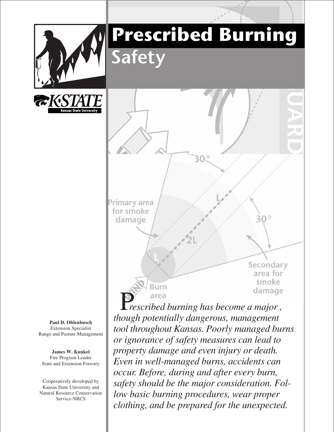

# **Prescribed Burning afet**



Primary area for smoke damage

Brirn

**Paul D. Ohlenbusch** Extension Specialist Range and Pasture Management

**James W. Kunkel** Fire Program Leader State and Extension Forestry

Cooperatively developed by Kansas State University and Natural Resource Conservation Service-NRCS

P*rescribed burning has become a major , though potentially dangerous, management tool throughout Kansas. Poorly managed burns or ignorance of safety measures can lead to property damage and even injury or death. Even in well-managed burns, accidents can occur. Before, during and after every burn, safety should be the major consideration. Follow basic burning procedures, wear proper clothing, and be prepared for the unexpected.*

Secondary area for smoke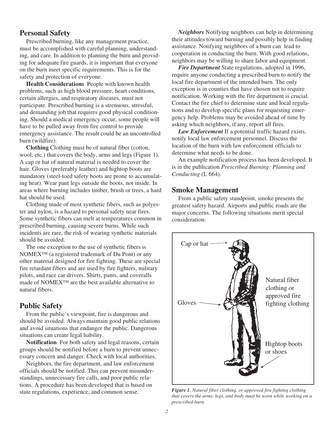# **Personal Safety**

Prescribed burning, like any management practice, must be accomplished with careful planning, understanding, and care. In addition to planning the burn and providing for adequate fire guards, it is important that everyone on the burn meet specific requirements. This is for the safety and protection of everyone.

**Health Considerations** People with known health problems, such as high blood pressure, heart conditions, certain allergies, and respiratory diseases, must not participate. Prescribed burning is a strenuous, stressful, and demanding job that requires good physical conditioning. Should a medical emergency occur, some people will have to be pulled away from fire control to provide emergency assistance. The result could be an uncontrolled burn (wildfire).

**Clothing** Clothing must be of natural fiber (cotton, wool, etc.) that covers the body, arms and legs (Figure 1). A cap or hat of natural material is needed to cover the hair. Gloves (preferably leather) and hightop boots are mandatory (steel-toed safety boots are prone to accumulating heat). Wear pant legs outside the boots, not inside. In areas where burning includes timber, brush or trees, a hard hat should be used.

Clothing made of most synthetic fibers, such as polyester and nylon, is a hazard to personal safety near fires. Some synthetic fibers can melt at temperatures common in prescribed burning, causing severe burns. While such incidents are rare, the risk of wearing synthetic materials should be avoided.

The one exception to the use of synthetic fibers is NOMEX<sup>™</sup> (a registered trademark of Du Pont) or any other material designed for fire fighting. These are special fire retardant fibers and are used by fire fighters, military pilots, and race car drivers. Shirts, pants, and coveralls made of NOMEX™ are the best available alternative to natural fibers.

#### **Public Safety**

From the public's viewpoint, fire is dangerous and should be avoided. Always maintain good public relations and avoid situations that endanger the public. Dangerous situations can create legal liability.

**Notification** For both safety and legal reasons, certain groups should be notified before a burn to prevent unnecessary concern and danger. Check with local authorities.

Neighbors, the fire department, and law enforcement officials should be notified. This can prevent misunderstandings, unnecessary fire calls, and poor public relations. A procedure has been developed that is based on state regulations, experience, and common sense.

*Neighbors* Notifying neighbors can help in determining their attitudes toward burning and possibly help in finding assistance. Notifying neighbors of a burn can lead to cooperation in conducting the burn. With good relations, neighbors may be willing to share labor and equipment.

*Fire Department* State regulations, adopted in 1996, require anyone conducting a prescribed burn to notify the local fire department of the intended burn. The only exception is in counties that have chosen not to require notification. Working with the fire department is crucial. Contact the fire chief to determine state and local regulations and to develop specific plans for requesting emergency help. Problems may be avoided ahead of time by asking which neighbors, if any, report all fires.

*Law Enforcement* If a potential traffic hazard exists, notify local law enforcement personnel. Discuss the location of the burn with law enforcement officials to determine what needs to be done.

An example notification process has been developed. It is in the publication *Prescribed Burning: Planning and Conducting* (L 664).

### **Smoke Management**

From a public safety standpoint, smoke presents the greatest safety hazard. Airports and public roads are the major concerns. The following situations merit special consideration:



*Figure 1. Natural fiber clothing, or approved fire fighting clothing that covers the arms, legs, and body must be worn while working on a prescribed burn.*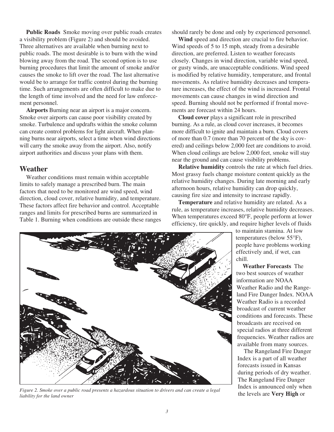**Public Roads** Smoke moving over public roads creates a visibility problem (Figure 2) and should be avoided. Three alternatives are available when burning next to public roads. The most desirable is to burn with the wind blowing away from the road. The second option is to use burning procedures that limit the amount of smoke and/or causes the smoke to lift over the road. The last alternative would be to arrange for traffic control during the burning time. Such arrangements are often difficult to make due to the length of time involved and the need for law enforcement personnel.

**Airports** Burning near an airport is a major concern. Smoke over airports can cause poor visibility created by smoke. Turbulence and updrafts within the smoke column can create control problems for light aircraft. When planning burns near airports, select a time when wind directions will carry the smoke away from the airport. Also, notify airport authorities and discuss your plans with them.

#### **Weather**

Weather conditions must remain within acceptable limits to safely manage a prescribed burn. The main factors that need to be monitored are wind speed, wind direction, cloud cover, relative humidity, and temperature. These factors affect fire behavior and control. Acceptable ranges and limits for prescribed burns are summarized in Table 1. Burning when conditions are outside these ranges should rarely be done and only by experienced personnel.

**Wind** speed and direction are crucial to fire behavior. Wind speeds of 5 to 15 mph, steady from a desirable direction, are preferred. Listen to weather forecasts closely. Changes in wind direction, variable wind speed, or gusty winds, are unacceptable conditions. Wind speed is modified by relative humidity, temperature, and frontal movements. As relative humidity decreases and temperature increases, the effect of the wind is increased. Frontal movements can cause changes in wind direction and speed. Burning should not be performed if frontal movements are forecast within 24 hours.

**Cloud cover** plays a significant role in prescribed burning. As a rule, as cloud cover increases, it becomes more difficult to ignite and maintain a burn. Cloud covers of more than 0.7 (more than 70 percent of the sky is covered) and ceilings below 2,000 feet are conditions to avoid. When cloud ceilings are below 2,000 feet, smoke will stay near the ground and can cause visibility problems.

**Relative humidity** controls the rate at which fuel dries. Most grassy fuels change moisture content quickly as the relative humidity changes. During late morning and early afternoon hours, relative humidity can drop quickly, causing fire size and intensity to increase rapidly.

**Temperature** and relative humidity are related. As a rule, as temperature increases, relative humidity decreases. When temperatures exceed 80°F, people perform at lower efficiency, tire quickly, and require higher levels of fluids

> to maintain stamina. At low temperatures (below 55°F), people have problems working effectively and, if wet, can chill.

**Weather Forecasts** The two best sources of weather information are NOAA Weather Radio and the Rangeland Fire Danger Index. NOAA Weather Radio is a recorded broadcast of current weather conditions and forecasts. These broadcasts are received on special radios at three different frequencies. Weather radios are available from many sources.

The Rangeland Fire Danger Index is a part of all weather forecasts issued in Kansas during periods of dry weather. The Rangeland Fire Danger Index is announced only when the levels are **Very High** or



*Figure 2. Smoke over a public road presents a hazardous situation to drivers and can create a legal liability for the land owner*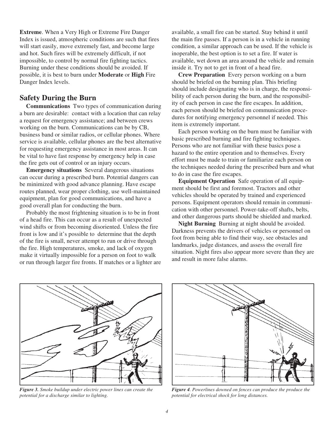**Extreme**. When a Very High or Extreme Fire Danger Index is issued, atmospheric conditions are such that fires will start easily, move extremely fast, and become large and hot. Such fires will be extremely difficult, if not impossible, to control by normal fire fighting tactics. Burning under these conditions should be avoided. If possible, it is best to burn under **Moderate** or **High** Fire Danger Index levels.

# **Safety During the Burn**

**Communications** Two types of communication during a burn are desirable: contact with a location that can relay a request for emergency assistance; and between crews working on the burn. Communications can be by CB, business band or similar radios, or cellular phones. Where service is available, cellular phones are the best alternative for requesting emergency assistance in most areas. It can be vital to have fast response by emergency help in case the fire gets out of control or an injury occurs.

**Emergency situations** Several dangerous situations can occur during a prescribed burn. Potential dangers can be minimized with good advance planning. Have escape routes planned, wear proper clothing, use well-maintained equipment, plan for good communications, and have a good overall plan for conducting the burn.

Probably the most frightening situation is to be in front of a head fire. This can occur as a result of unexpected wind shifts or from becoming disoriented. Unless the fire front is low and it's possible to determine that the depth of the fire is small, never attempt to run or drive through the fire. High temperatures, smoke, and lack of oxygen make it virtually impossible for a person on foot to walk or run through larger fire fronts. If matches or a lighter are available, a small fire can be started. Stay behind it until the main fire passes. If a person is in a vehicle in running condition, a similar approach can be used. If the vehicle is inoperable, the best option is to set a fire. If water is available, wet down an area around the vehicle and remain inside it. Try not to get in front of a head fire.

**Crew Preparation** Every person working on a burn should be briefed on the burning plan. This briefing should include designating who is in charge, the responsibility of each person during the burn, and the responsibility of each person in case the fire escapes. In addition, each person should be briefed on communication procedures for notifying emergency personnel if needed. This item is extremely important.

Each person working on the burn must be familiar with basic prescribed burning and fire fighting techniques. Persons who are not familiar with these basics pose a hazard to the entire operation and to themselves. Every effort must be made to train or familiarize each person on the techniques needed during the prescribed burn and what to do in case the fire escapes.

**Equipment Operation** Safe operation of all equipment should be first and foremost. Tractors and other vehicles should be operated by trained and experienced persons. Equipment operators should remain in communication with other personnel. Power-take-off shafts, belts, and other dangerous parts should be shielded and marked.

**Night Burning** Burning at night should be avoided. Darkness prevents the drivers of vehicles or personnel on foot from being able to find their way, see obstacles and landmarks, judge distances, and assess the overall fire situation. Night fires also appear more severe than they are and result in more false alarms.



*Figure 3. Smoke buildup under electric power lines can create the potential for a discharge similar to lighting.*



*Figure 4. Powerlines downed on fences can produce the produce the potential for electrical shock for long distances.*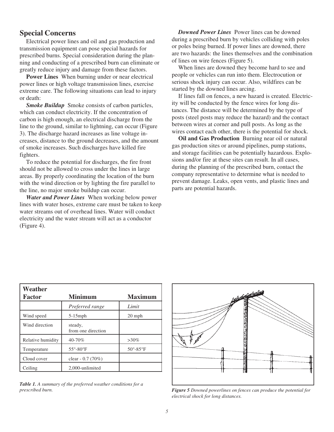## **Special Concerns**

Electrical power lines and oil and gas production and transmission equipment can pose special hazards for prescribed burns. Special consideration during the planning and conducting of a prescribed burn can eliminate or greatly reduce injury and damage from these factors.

**Power Lines** When burning under or near electrical power lines or high voltage transmission lines, exercise extreme care. The following situations can lead to injury or death:

*Smoke Buildup* Smoke consists of carbon particles, which can conduct electricity. If the concentration of carbon is high enough, an electrical discharge from the line to the ground, similar to lightning, can occur (Figure 3). The discharge hazard increases as line voltage increases, distance to the ground decreases, and the amount of smoke increases. Such discharges have killed fire fighters.

To reduce the potential for discharges, the fire front should not be allowed to cross under the lines in large areas. By properly coordinating the location of the burn with the wind direction or by lighting the fire parallel to the line, no major smoke buildup can occur.

*Water and Power Lines* When working below power lines with water hoses, extreme care must be taken to keep water streams out of overhead lines. Water will conduct electricity and the water stream will act as a conductor (Figure 4).

*Downed Power Lines* Power lines can be downed during a prescribed burn by vehicles colliding with poles or poles being burned. If power lines are downed, there are two hazards: the lines themselves and the combination of lines on wire fences (Figure 5).

When lines are downed they become hard to see and people or vehicles can run into them. Electrocution or serious shock injury can occur. Also, wildfires can be started by the downed lines arcing.

If lines fall on fences, a new hazard is created. Electricity will be conducted by the fence wires for long distances. The distance will be determined by the type of posts (steel posts may reduce the hazard) and the contact between wires at corner and pull posts. As long as the wires contact each other, there is the potential for shock.

**Oil and Gas Production** Burning near oil or natural gas production sites or around pipelines, pump stations, and storage facilities can be potentially hazardous. Explosions and/or fire at these sites can result. In all cases, during the planning of the prescribed burn, contact the company representative to determine what is needed to prevent damage. Leaks, open vents, and plastic lines and parts are potential hazards.

| Weather           |                               |                             |
|-------------------|-------------------------------|-----------------------------|
| <b>Factor</b>     | <b>Minimum</b>                | Maximum                     |
|                   | Preferred range               | Limit                       |
| Wind speed        | $5-15$ mph                    | $20$ mph                    |
| Wind direction    | steady,<br>from one direction |                             |
| Relative humidity | 40-70%                        | $>30\%$                     |
| Temperature       | $55^{\circ} - 80^{\circ}$ F   | $50^{\circ} - 85^{\circ}$ F |
| Cloud cover       | clear - $0.7(70%)$            |                             |
| Ceiling           | 2,000-unlimited               |                             |

*Table 1. A summary of the preferred weather conditions for a prescribed burn.*



*Figure 5 Downed powerlines on fences can produce the potential for electrical shock for long distances.*